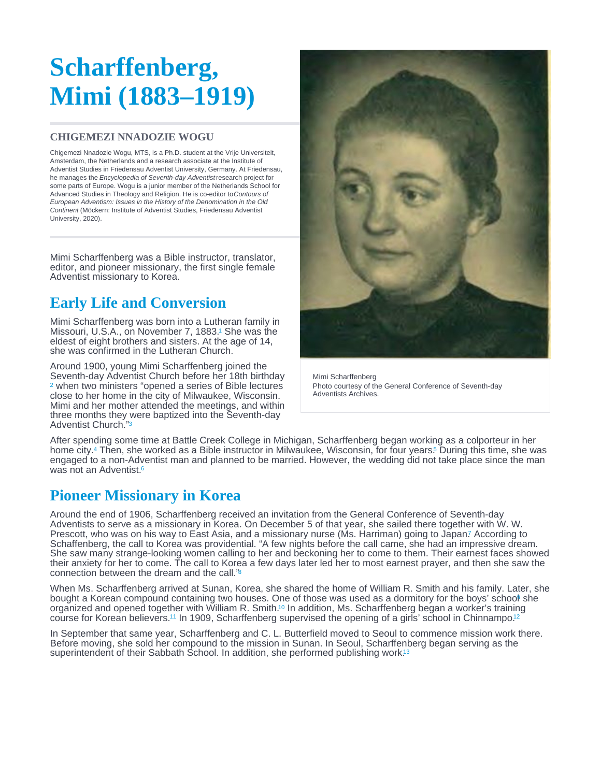# <span id="page-0-0"></span>Scharffenberg, Mimi (1883–1919)

#### CHIGEMEZI NNADOZIE WOGU

Chigemezi Nnadozie Wogu, MTS, is a Ph.D. student at the Vrije Universiteit, Amsterdam, the Netherlands and a research associate at the Institute of Adventist Studies in Friedensau Adventist University, Germany. At Friedensau, he manages the Encyclopedia of Seventh-day Adventist research project for some parts of Europe. Wogu is a junior member of the Netherlands School for Advanced Studies in Theology and Religion. He is co-editor to Contours of European Adventism: Issues in the History of the Denomination in the Old Continent (Möckern: Institute of Adventist Studies, Friedensau Adventist University, 2020).

Mimi Scharffenberg was a Bible instructor, translator, editor, and pioneer missionary, the first single female Adventist missionary to Korea.

## Early Life and Conversion

Mimi Scharffenberg was born into a Lutheran family in Missouri, U.S.A., on November 7, 1883.<sup>1</sup> She was the eldest of eight brothers and sisters. At the age of 14, she was confirmed in the Lutheran Church.

Around 1900, young Mimi Scharffenberg joined the Seventh-day Adventist Church before her 18th birthday <sup>[2](#page-2-0)</sup> when two ministers "opened a series of Bible lectures close to her home in the city of Milwaukee, Wisconsin. Mimi and her mother attended the meetings, and within three months they were baptized into the Seventh-day Adventist Church."[3](#page-2-0)

Mimi Scharffenberg Photo courtesy of the General Conference of Seventh-day Adventists Archives.

After spending some time at Battle Creek College in Michigan, Scharffenberg began working as a colporteur in her home city[.](#page-2-0)<sup>4</sup> Then, she worked as a Bible instructor in Milwaukee, Wisconsin, for four years.<sup>5</sup> During this time, she was engaged to a non-Adventist man and planned to be married. However, the wedding did not take place since the man was not an Adventist.<sup>[6](#page-2-0)</sup>

### Pioneer Missionary in Korea

Around the end of 1906, Scharffenberg received an invitation from the General Conference of Seventh-day Adventists to serve as a missionary in Korea. On December 5 of that year, she sailed there together with W. W. Prescott, who was on his way to East Asia, and a missionary nurse (Ms[.](#page-2-0) Harriman) going to Japan? According to Schaffenberg, the call to Korea was providential. "A few nights before the call came, she had an impressive dream. She saw many strange-looking women calling to her and beckoning her to come to them. Their earnest faces showed their anxiety for her to come. The call to Korea a few days later led her to most earnest prayer, and then she saw the connection between the dream and the call." [8](#page-2-0)

When Ms. Scharffenberg arrived at Sunan, Korea, she shared the home of William R. Smith and his family. Later, she bought a Korean compound containing two houses. One of those was used as a dormitory for the boys' scho[ol](#page-2-0) she organized and opened together with William R[.](#page-2-0) Smith.<sup>10</sup> In addition, Ms. Scharffenberg began a worker's training course for Korean believers.<sup>11</sup> In 1909, Scharffenberg supervised the opening of a girls' school in Chinnampo.<sup>[12](#page-2-0)</sup>

In September that same year, Scharffenberg and C. L. Butterfield moved to Seoul to commence mission work there. Before moving, she sold her compound to the mission in Sunan. In Seoul, Scharffenberg began serving as the superintendent of their Sabbath School. In addition, she performed publishing work.<sup>[13](#page-2-0)</sup>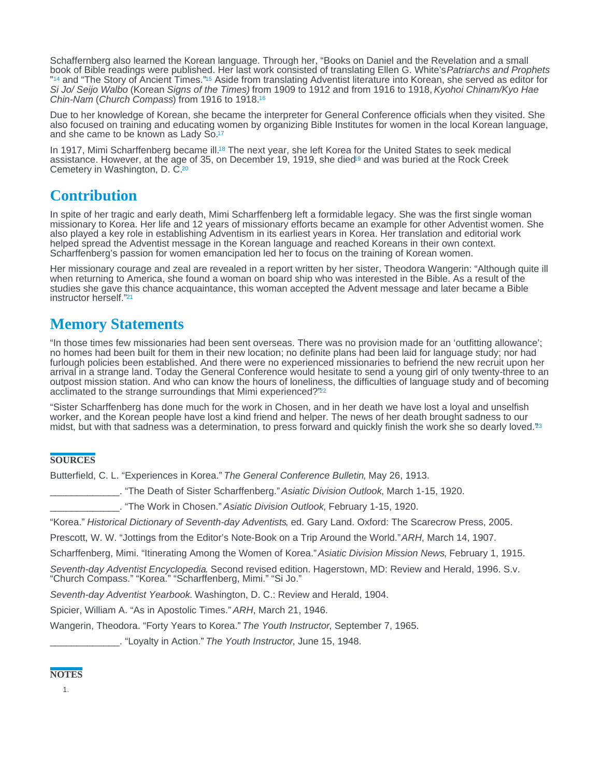<span id="page-1-0"></span>Schaffernberg also learned the Korean language. Through her, "Books on Daniel and the Revelation and a small book of Bible readings were published. Her last work consisted of translating Ellen G. White's Patriarchs and Prophets ["](#page-2-0)<sup>14</sup> and "The Story of Ancient Times."<sup>15</sup> Aside from translating Adventist literature into Korean, she served as editor for Si Jo/ Seijo Walbo (Korean Signs of the Times) from 1909 to 1912 and from 1916 to 1918, Kyohoi Chinam/Kyo Hae Chin-Nam (Church Compass) from 1916 to 1918. [16](#page-2-0) <sup>14</sup> and "The Story of Ancient Times "<sup>15</sup>

Due to her knowledge of Korean, she became the interpreter for General Conference officials when they visited. She also focused on training and educating women by organizing Bible Institutes for women in the local Korean language, and she came to be known as Lady So.<sup>[17](#page-2-0)</sup>

In 1917, Mimi Scharffenberg became ill[.](#page-2-0)<sup>18</sup> The next year, she left Korea for the United States to seek medical assistance. However, at the age of 35, on December 19, 1919, she died<sup>19</sup> an[d](#page-2-0) was buried at the Rock Creek Cemetery in Washington, D. C.<sup>[20](#page-2-0)</sup>

## **Contribution**

In spite of her tragic and early death, Mimi Scharffenberg left a formidable legacy. She was the first single woman missionary to Korea. Her life and 12 years of missionary efforts became an example for other Adventist women. She also played a key role in establishing Adventism in its earliest years in Korea. Her translation and editorial work helped spread the Adventist message in the Korean language and reached Koreans in their own context. Scharffenberg's passion for women emancipation led her to focus on the training of Korean women.

Her missionary courage and zeal are revealed in a report written by her sister, Theodora Wangerin: "Although quite ill when returning to America, she found a woman on board ship who was interested in the Bible. As a result of the studies she gave this chance acquaintance, this woman accepted the Advent message and later became a Bible instructor herself."[21](#page-2-0)

## Memory Statements

"In those times few missionaries had been sent overseas. There was no provision made for an 'outfitting allowance'; no homes had been built for them in their new location; no definite plans had been laid for language study; nor had furlough policies been established. And there were no experienced missionaries to befriend the new recruit upon her arrival in a strange land. Today the General Conference would hesitate to send a young girl of only twenty-three to an outpost mission station. And who can know the hours of loneliness, the difficulties of language study and of becoming acclimated to the strange surroundings that Mimi experienced?"<sup>[22](#page-2-0)</sup>

"Sister Scharffenberg has done much for the work in Chosen, and in her death we have lost a loyal and unselfish worker, and the Korean people have lost a kind friend and helper. The news of her death brought sadness to our midst, but with that sadness was a determination, to press forward and quickly finish the work she so dearly loved."[23](#page-2-0)

#### **SOURCES**

Butterfield, C. L. "Experiences in Korea." The General Conference Bulletin, May 26, 1913.

\_\_\_\_\_\_\_\_\_\_\_\_\_. "The Death of Sister Scharffenberg." Asiatic Division Outlook, March 1-15, 1920.

\_\_\_\_\_\_\_\_\_\_\_\_\_. "The Work in Chosen." Asiatic Division Outlook, February 1-15, 1920.

"Korea." Historical Dictionary of Seventh-day Adventists, ed. Gary Land. Oxford: The Scarecrow Press, 2005.

Prescott, W. W. "Jottings from the Editor's Note-Book on a Trip Around the World." ARH, March 14, 1907.

Scharffenberg, Mimi. "Itinerating Among the Women of Korea." Asiatic Division Mission News, February 1, 1915.

Seventh-day Adventist Encyclopedia. Second revised edition. Hagerstown, MD: Review and Herald, 1996. S.v. "Church Compass." "Korea." "Scharffenberg, Mimi." "Si Jo."

Seventh-day Adventist Yearbook. Washington, D. C.: Review and Herald, 1904.

Spicier, William A. "As in Apostolic Times." ARH, March 21, 1946.

Wangerin, Theodora. "Forty Years to Korea." The Youth Instructor, September 7, 1965.

\_\_\_\_\_\_\_\_\_\_\_\_\_. "Loyalty in Action." The Youth Instructor, June 15, 1948.

#### **NOTES**

1.